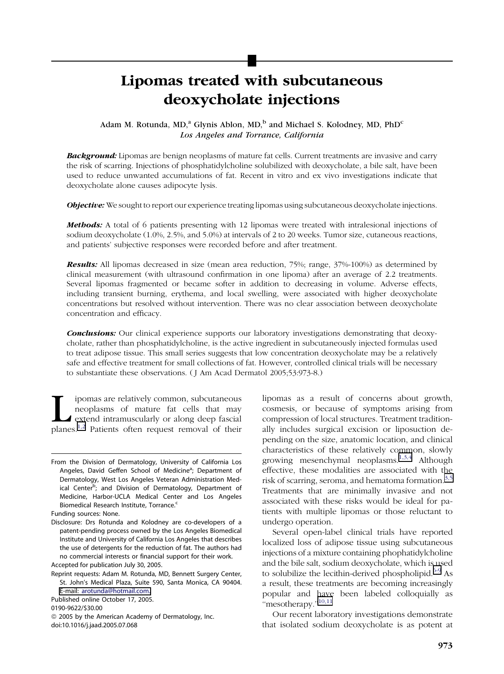# Lipomas treated with subcutaneous deoxycholate injections

Adam M. Rotunda, MD,<sup>a</sup> Glynis Ablon, MD,<sup>b</sup> and Michael S. Kolodney, MD, PhD<sup>c</sup> Los Angeles and Torrance, California

**Background:** Lipomas are benign neoplasms of mature fat cells. Current treatments are invasive and carry the risk of scarring. Injections of phosphatidylcholine solubilized with deoxycholate, a bile salt, have been used to reduce unwanted accumulations of fat. Recent in vitro and ex vivo investigations indicate that deoxycholate alone causes adipocyte lysis.

**Objective:** We sought to report our experience treating lipomas using subcutaneous deoxycholate injections.

**Methods:** A total of 6 patients presenting with 12 lipomas were treated with intralesional injections of sodium deoxycholate (1.0%, 2.5%, and 5.0%) at intervals of 2 to 20 weeks. Tumor size, cutaneous reactions, and patients' subjective responses were recorded before and after treatment.

Results: All lipomas decreased in size (mean area reduction, 75%; range, 37%-100%) as determined by clinical measurement (with ultrasound confirmation in one lipoma) after an average of 2.2 treatments. Several lipomas fragmented or became softer in addition to decreasing in volume. Adverse effects, including transient burning, erythema, and local swelling, were associated with higher deoxycholate concentrations but resolved without intervention. There was no clear association between deoxycholate concentration and efficacy.

**Conclusions:** Our clinical experience supports our laboratory investigations demonstrating that deoxycholate, rather than phosphatidylcholine, is the active ingredient in subcutaneously injected formulas used to treat adipose tissue. This small series suggests that low concentration deoxycholate may be a relatively safe and effective treatment for small collections of fat. However, controlled clinical trials will be necessary to substantiate these observations. ( J Am Acad Dermatol 2005;53:973-8.)

**Lipomas are relatively common, subcutaneous** neoplasms of mature fat cells that may extend intramuscularly or along deep fascial planes.<sup>[1,2](#page-4-0)</sup> Patients often request removal of their neoplasms of mature fat cells that may extend intramuscularly or along deep fascial

lipomas as a result of concerns about growth, cosmesis, or because of symptoms arising from compression of local structures. Treatment traditionally includes surgical excision or liposuction depending on the size, anatomic location, and clinical characteristics of these relatively common, slowly growing mesenchymal neoplasms.<sup>[1,3,4](#page-4-0)</sup> Although effective, these modalities are associated with the risk of scarring, seroma, and hematoma formation.<sup>[3,5](#page-4-0)</sup> Treatments that are minimally invasive and not associated with these risks would be ideal for patients with multiple lipomas or those reluctant to undergo operation.

Several open-label clinical trials have reported localized loss of adipose tissue using subcutaneous injections of a mixture containing phophatidylcholine and the bile salt, sodium deoxycholate, which is used to solubilize the lecithin-derived phospholipid.<sup>[6-9](#page-4-0)</sup> As a result, these treatments are becoming increasingly popular and have been labeled colloquially as "mesotherapy."<sup>10,11</sup>

Our recent laboratory investigations demonstrate that isolated sodium deoxycholate is as potent at

From the Division of Dermatology, University of California Los Angeles, David Geffen School of Medicine<sup>a</sup>; Department of Dermatology, West Los Angeles Veteran Administration Medical Center<sup>b</sup>; and Division of Dermatology, Department of Medicine, Harbor-UCLA Medical Center and Los Angeles Biomedical Research Institute, Torrance.<sup>c</sup>

Funding sources: None.

Disclosure: Drs Rotunda and Kolodney are co-developers of a patent-pending process owned by the Los Angeles Biomedical Institute and University of California Los Angeles that describes the use of detergents for the reduction of fat. The authors had no commercial interests or financial support for their work. Accepted for publication July 30, 2005.

Reprint requests: Adam M. Rotunda, MD, Bennett Surgery Center, St. John's Medical Plaza, Suite 590, Santa Monica, CA 90404. E-mail: [arotunda@hotmail.com.](mailto:arotunda@hotmail.com)

Published online October 17, 2005.

<sup>0190-9622/\$30.00</sup>

 $@$  2005 by the American Academy of Dermatology, Inc. doi:10.1016/j.jaad.2005.07.068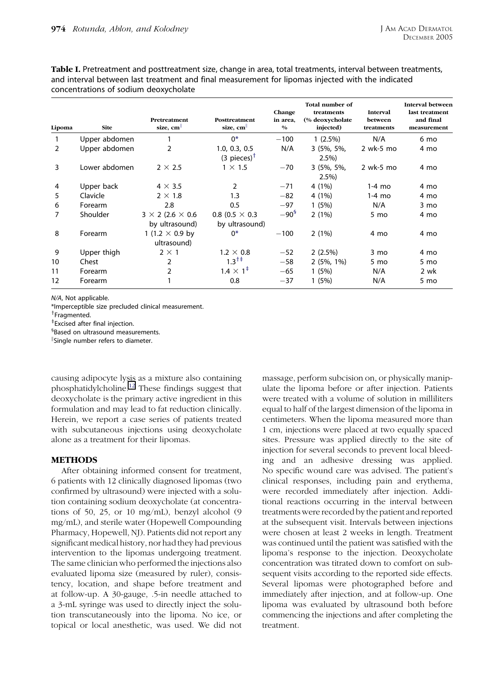<span id="page-1-0"></span>Table I. Pretreatment and posttreatment size, change in area, total treatments, interval between treatments, and interval between last treatment and final measurement for lipomas injected with the indicated concentrations of sodium deoxycholate

| Lipoma | <b>Site</b>   | Pretreatment<br>size, $cm  $                     | Posttreatment<br>size, cm                  | Change<br>in area.<br>$\frac{0}{0}$ | Total number of<br>treatments<br>(% deoxycholate<br>injected) | <b>Interval</b><br>between<br>treatments | <b>Interval between</b><br>last treatment<br>and final<br>measurement |
|--------|---------------|--------------------------------------------------|--------------------------------------------|-------------------------------------|---------------------------------------------------------------|------------------------------------------|-----------------------------------------------------------------------|
|        | Upper abdomen |                                                  | $0^*$                                      | $-100$                              | $1(2.5\%)$                                                    | N/A                                      | 6 mo                                                                  |
| 2      | Upper abdomen | 2                                                | 1.0, 0.3, 0.5<br>$(3$ pieces) <sup>†</sup> | N/A                                 | $3(5\%, 5\%,$<br>2.5%                                         | $2$ wk-5 mo                              | 4 mo                                                                  |
| 3      | Lower abdomen | $2 \times 2.5$                                   | $1 \times 1.5$                             | $-70$                               | $3(5\%, 5\%$<br>2.5%                                          | $2$ wk-5 mo                              | 4 mo                                                                  |
| 4      | Upper back    | $4 \times 3.5$                                   | 2                                          | $-71$                               | 4 (1%)                                                        | $1-4$ mo                                 | 4 mo                                                                  |
| 5      | Clavicle      | $2 \times 1.8$                                   | 1.3                                        | $-82$                               | 4 (1%)                                                        | 1-4 mo                                   | 4 mo                                                                  |
| 6      | Forearm       | 2.8                                              | 0.5                                        | $-97$                               | 1(5%)                                                         | N/A                                      | 3 mo                                                                  |
| 7      | Shoulder      | $3 \times 2$ (2.6 $\times$ 0.6<br>by ultrasound) | 0.8 (0.5 $\times$ 0.3<br>by ultrasound)    | $-90^{5}$                           | 2(1%)                                                         | 5 mo                                     | 4 mo                                                                  |
| 8      | Forearm       | 1 (1.2 $\times$ 0.9 by<br>ultrasound)            | $0*$                                       | $-100$                              | 2(1%)                                                         | 4 mo                                     | 4 mo                                                                  |
| 9      | Upper thigh   | $2 \times 1$                                     | $1.2 \times 0.8$                           | $-52$                               | $2(2.5\%)$                                                    | 3 mo                                     | 4 mo                                                                  |
| 10     | Chest         | 2                                                | $1.3^{++}$                                 | $-58$                               | $2(5\%, 1\%)$                                                 | 5 mo                                     | 5 mo                                                                  |
| 11     | Forearm       | 2                                                | $1.4 \times 1^{4}$                         | $-65$                               | 1(5%)                                                         | N/A                                      | 2 wk                                                                  |
| 12     | Forearm       |                                                  | 0.8                                        | $-37$                               | 1(5%)                                                         | N/A                                      | 5 mo                                                                  |

N/A, Not applicable.

\*Imperceptible size precluded clinical measurement.

<sup>†</sup>Fragmented.

z Excised after final injection.

§ Based on ultrasound measurements.

k Single number refers to diameter.

causing adipocyte lysis as a mixture also containing phosphatidylcholine.[12](#page-4-0) These findings suggest that deoxycholate is the primary active ingredient in this formulation and may lead to fat reduction clinically. Herein, we report a case series of patients treated with subcutaneous injections using deoxycholate alone as a treatment for their lipomas.

#### METHODS

After obtaining informed consent for treatment, 6 patients with 12 clinically diagnosed lipomas (two confirmed by ultrasound) were injected with a solution containing sodium deoxycholate (at concentrations of 50, 25, or 10 mg/mL), benzyl alcohol (9 mg/mL), and sterile water (Hopewell Compounding Pharmacy, Hopewell, NJ). Patients did not report any significant medical history, nor had they had previous intervention to the lipomas undergoing treatment. The same clinician who performed the injections also evaluated lipoma size (measured by ruler), consistency, location, and shape before treatment and at follow-up. A 30-gauge, .5-in needle attached to a 3-mL syringe was used to directly inject the solution transcutaneously into the lipoma. No ice, or topical or local anesthetic, was used. We did not

massage, perform subcision on, or physically manipulate the lipoma before or after injection. Patients were treated with a volume of solution in milliliters equal to half of the largest dimension of the lipoma in centimeters. When the lipoma measured more than 1 cm, injections were placed at two equally spaced sites. Pressure was applied directly to the site of injection for several seconds to prevent local bleeding and an adhesive dressing was applied. No specific wound care was advised. The patient's clinical responses, including pain and erythema, were recorded immediately after injection. Additional reactions occurring in the interval between treatments were recorded by the patient and reported at the subsequent visit. Intervals between injections were chosen at least 2 weeks in length. Treatment was continued until the patient was satisfied with the lipoma's response to the injection. Deoxycholate concentration was titrated down to comfort on subsequent visits according to the reported side effects. Several lipomas were photographed before and immediately after injection, and at follow-up. One lipoma was evaluated by ultrasound both before commencing the injections and after completing the treatment.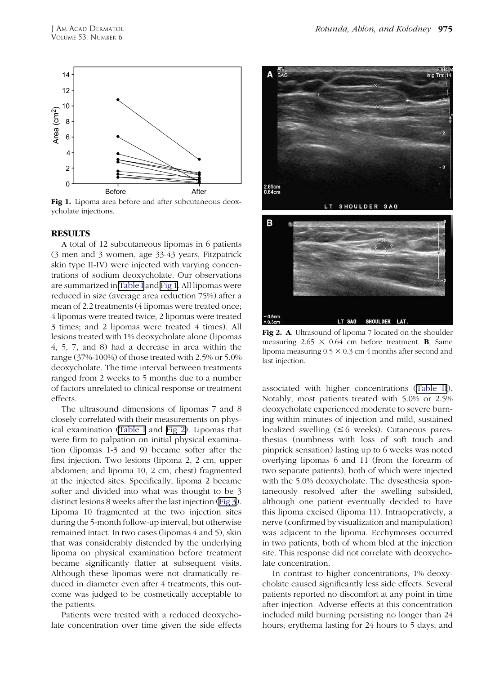

Fig 1. Lipoma area before and after subcutaneous deoxycholate injections.

#### **RESULTS**

A total of 12 subcutaneous lipomas in 6 patients (3 men and 3 women, age 33-43 years, Fitzpatrick skin type II-IV) were injected with varying concentrations of sodium deoxycholate. Our observations are summarized in [Table](#page-1-0) I and Fig 1. All lipomas were reduced in size (average area reduction 75%) after a mean of 2.2 treatments (4 lipomas were treated once; 4 lipomas were treated twice, 2 lipomas were treated 3 times; and 2 lipomas were treated 4 times). All lesions treated with 1% deoxycholate alone (lipomas 4, 5, 7, and 8) had a decrease in area within the range (37%-100%) of those treated with 2.5% or 5.0% deoxycholate. The time interval between treatments ranged from 2 weeks to 5 months due to a number of factors unrelated to clinical response or treatment effects.

The ultrasound dimensions of lipomas 7 and 8 closely correlated with their measurements on physical examination [\(Table](#page-1-0) I and Fig 2). Lipomas that were firm to palpation on initial physical examination (lipomas 1-3 and 9) became softer after the first injection. Two lesions (lipoma 2, 2 cm, upper abdomen; and lipoma 10, 2 cm, chest) fragmented at the injected sites. Specifically, lipoma 2 became softer and divided into what was thought to be 3 distinct lesions 8 weeks after the last injection [\(Fig](#page-3-0) 3). Lipoma 10 fragmented at the two injection sites during the 5-month follow-up interval, but otherwise remained intact. In two cases (lipomas 4 and 5), skin that was considerably distended by the underlying lipoma on physical examination before treatment became significantly flatter at subsequent visits. Although these lipomas were not dramatically reduced in diameter even after 4 treatments, this outcome was judged to be cosmetically acceptable to the patients.

Patients were treated with a reduced deoxycholate concentration over time given the side effects



Fig 2. A, Ultrasound of lipoma 7 located on the shoulder measuring  $2.65 \times 0.64$  cm before treatment. **B**, Same lipoma measuring  $0.5 \times 0.3$  cm 4 months after second and last injection.

associated with higher concentrations ([Table](#page-3-0) II). Notably, most patients treated with 5.0% or 2.5% deoxycholate experienced moderate to severe burning within minutes of injection and mild, sustained localized swelling  $( \leq 6$  weeks). Cutaneous paresthesias (numbness with loss of soft touch and pinprick sensation) lasting up to 6 weeks was noted overlying lipomas 6 and 11 (from the forearm of two separate patients), both of which were injected with the 5.0% deoxycholate. The dysesthesia spontaneously resolved after the swelling subsided, although one patient eventually decided to have this lipoma excised (lipoma 11). Intraoperatively, a nerve (confirmed by visualization and manipulation) was adjacent to the lipoma. Ecchymoses occurred in two patients, both of whom bled at the injection site. This response did not correlate with deoxycholate concentration.

In contrast to higher concentrations, 1% deoxycholate caused significantly less side effects. Several patients reported no discomfort at any point in time after injection. Adverse effects at this concentration included mild burning persisting no longer than 24 hours; erythema lasting for 24 hours to 5 days; and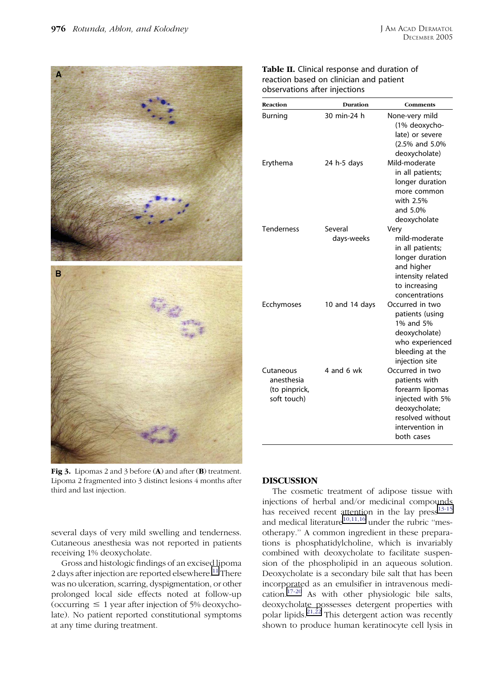<span id="page-3-0"></span>

Lipoma 2 fragmented into 3 distinct lesions 4 months after third and last injection.

several days of very mild swelling and tenderness. Cutaneous anesthesia was not reported in patients receiving 1% deoxycholate.

Gross and histologic findings of an excised lipoma 2 days after injection are reported elsewhere.<sup>[11](#page-4-0)</sup> There was no ulceration, scarring, dyspigmentation, or other prolonged local side effects noted at follow-up (occurring  $\leq 1$  year after injection of 5% deoxycholate). No patient reported constitutional symptoms at any time during treatment.

### Table II. Clinical response and duration of reaction based on clinician and patient observations after injections

| Reaction                                                | Duration       | Comments                                                                                                                                      |
|---------------------------------------------------------|----------------|-----------------------------------------------------------------------------------------------------------------------------------------------|
| Burning                                                 | 30 min-24 h    | None-very mild<br>(1% deoxycho-<br>late) or severe<br>(2.5% and 5.0%<br>deoxycholate)                                                         |
| Erythema                                                | 24 h-5 days    | Mild-moderate<br>in all patients;<br>longer duration<br>more common<br>with 2.5%<br>and 5.0%<br>deoxycholate                                  |
| <b>Tenderness</b>                                       | Several        | Very                                                                                                                                          |
|                                                         | days-weeks     | mild-moderate<br>in all patients;<br>longer duration<br>and higher<br>intensity related<br>to increasing<br>concentrations                    |
| Ecchymoses                                              | 10 and 14 days | Occurred in two<br>patients (using<br>1% and 5%<br>deoxycholate)<br>who experienced<br>bleeding at the<br>injection site                      |
| Cutaneous<br>anesthesia<br>(to pinprick,<br>soft touch) | 4 and 6 wk     | Occurred in two<br>patients with<br>forearm lipomas<br>injected with 5%<br>deoxycholate;<br>resolved without<br>intervention in<br>both cases |

## **DISCUSSION**

The cosmetic treatment of adipose tissue with injections of herbal and/or medicinal compounds has received recent attention in the lay  $pres^{13-15}$  $pres^{13-15}$  $pres^{13-15}$ and medical literature $10,11,16$  under the rubric "mesotherapy.'' A common ingredient in these preparations is phosphatidylcholine, which is invariably combined with deoxycholate to facilitate suspension of the phospholipid in an aqueous solution. Deoxycholate is a secondary bile salt that has been incorporated as an emulsifier in intravenous medi-cation.<sup>[17-20](#page-5-0)</sup> As with other physiologic bile salts, deoxycholate possesses detergent properties with polar lipids.<sup>[21,22](#page-5-0)</sup> This detergent action was recently shown to produce human keratinocyte cell lysis in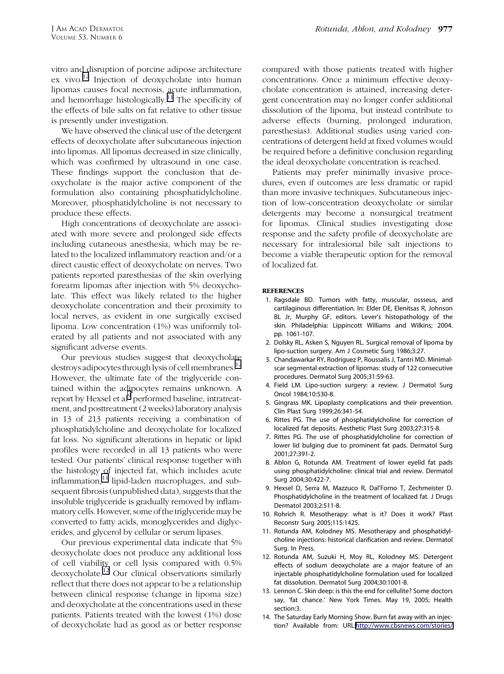<span id="page-4-0"></span>vitro and disruption of porcine adipose architecture ex vivo.<sup>12</sup> Injection of deoxycholate into human lipomas causes focal necrosis, acute inflammation, and hemorrhage histologically.<sup>11</sup> The specificity of the effects of bile salts on fat relative to other tissue is presently under investigation.

We have observed the clinical use of the detergent effects of deoxycholate after subcutaneous injection into lipomas. All lipomas decreased in size clinically, which was confirmed by ultrasound in one case. These findings support the conclusion that deoxycholate is the major active component of the formulation also containing phosphatidylcholine. Moreover, phosphatidylcholine is not necessary to produce these effects.

High concentrations of deoxycholate are associated with more severe and prolonged side effects including cutaneous anesthesia, which may be related to the localized inflammatory reaction and/or a direct caustic effect of deoxycholate on nerves. Two patients reported paresthesias of the skin overlying forearm lipomas after injection with 5% deoxycholate. This effect was likely related to the higher deoxycholate concentration and their proximity to local nerves, as evident in one surgically excised lipoma. Low concentration (1%) was uniformly tolerated by all patients and not associated with any significant adverse events.

Our previous studies suggest that deoxycholate destroys adipocytes through lysis of cell membranes.<sup>12</sup> However, the ultimate fate of the triglyceride contained within the adipocytes remains unknown. A report by Hexsel et al<sup>9</sup> performed baseline, intratreatment, and posttreatment(2 weeks)laboratory analysis in 13 of 213 patients receiving a combination of phosphatidylcholine and deoxycholate for localized fat loss. No significant alterations in hepatic or lipid profiles were recorded in all 13 patients who were tested. Our patients' clinical response together with the histology of injected fat, which includes acute inflammation, $11$  lipid-laden macrophages, and subsequent fibrosis (unpublished data), suggests that the insoluble triglyceride is gradually removed by inflammatory cells. However, some of the triglyceride may be converted to fatty acids, monoglycerides and diglycerides, and glycerol by cellular or serum lipases.

Our previous experimental data indicate that 5% deoxycholate does not produce any additional loss of cell viability or cell lysis compared with 0.5% deoxycholate.<sup>12</sup> Our clinical observations similarly reflect that there does not appear to be a relationship between clinical response (change in lipoma size) and deoxycholate at the concentrations used in these patients. Patients treated with the lowest (1%) dose of deoxycholate had as good as or better response

compared with those patients treated with higher concentrations. Once a minimum effective deoxycholate concentration is attained, increasing detergent concentration may no longer confer additional dissolution of the lipoma, but instead contribute to adverse effects (burning, prolonged induration, paresthesias). Additional studies using varied concentrations of detergent held at fixed volumes would be required before a definitive conclusion regarding the ideal deoxycholate concentration is reached.

Patients may prefer minimally invasive procedures, even if outcomes are less dramatic or rapid than more invasive techniques. Subcutaneous injection of low-concentration deoxycholate or similar detergents may become a nonsurgical treatment for lipomas. Clinical studies investigating dose response and the safety profile of deoxycholate are necessary for intralesional bile salt injections to become a viable therapeutic option for the removal of localized fat.

#### **REFERENCES**

- 1. Ragsdale BD. Tumors with fatty, muscular, ossseus, and cartilaginous differentiation. In: Elder DE, Elenitsas R, Johnson BL Jr, Murphy GF, editors. Lever's histopathology of the skin. Philadelphia: Lippincott Williams and Wilkins; 2004. pp. 1061-107.
- 2. Dolsky RL, Asken S, Nguyen RL. Surgical removal of lipoma by lipo-suction surgery. Am J Cosmetic Surg 1986;3:27.
- 3. Chandawarkar RY, Rodriguez P, Roussalis J, Tantri MD. Minimalscar segmental extraction of lipomas: study of 122 consecutive procedures. Dermatol Surg 2005;31:59-63.
- 4. Field LM. Lipo-suction surgery: a review. J Dermatol Surg Oncol 1984;10:530-8.
- 5. Gingrass MK. Lipoplasty complications and their prevention. Clin Plast Surg 1999;26:341-54.
- 6. Rittes PG. The use of phosphatidylcholine for correction of localized fat deposits. Aesthetic Plast Surg 2003;27:315-8.
- 7. Rittes PG. The use of phosphatidylcholine for correction of lower lid bulging due to prominent fat pads. Dermatol Surg 2001;27:391-2.
- 8. Ablon G, Rotunda AM. Treatment of lower eyelid fat pads using phosphatidylcholine: clinical trial and review. Dermatol Surg 2004;30:422-7.
- 9. Hexsel D, Serra M, Mazzuco R, Dal'Forno T, Zechmeister D. Phosphatidylcholine in the treatment of localized fat. J Drugs Dermatol 2003;2:511-8.
- 10. Rohrich R. Mesotherapy: what is it? Does it work? Plast Reconstr Surg 2005;115:1425.
- 11. Rotunda AM, Kolodney MS. Mesotherapy and phosphatidylcholine injections: historical clarification and review. Dermatol Surg. In Press.
- 12. Rotunda AM, Suzuki H, Moy RL, Kolodney MS. Detergent effects of sodium deoxycholate are a major feature of an injectable phosphatidylcholine formulation used for localized fat dissolution. Dermatol Surg 2004;30:1001-8.
- 13. Lennon C. Skin deep: is this the end for cellulite? Some doctors say, 'fat chance.' New York Times. May 19, 2005; Health section:3.
- 14. The Saturday Early Morning Show. Burn fat away with an injection? Available from: URL:[http://www.cbsnews.com/stories/](http://www.cbsnews.com/stories/2002/11/27/earlyshow/saturday/main531099.shtml)